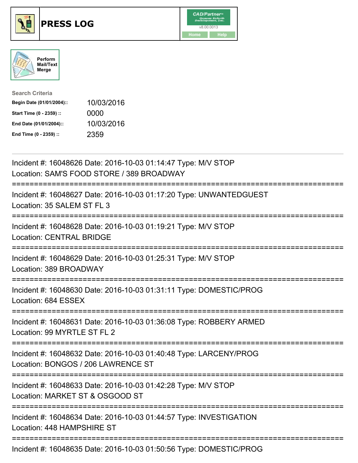





| <b>Search Criteria</b>    |            |
|---------------------------|------------|
| Begin Date (01/01/2004):: | 10/03/2016 |
| Start Time (0 - 2359) ::  | 0000       |
| End Date (01/01/2004)::   | 10/03/2016 |
| End Time (0 - 2359) ::    | 2359       |

| Incident #: 16048626 Date: 2016-10-03 01:14:47 Type: M/V STOP<br>Location: SAM'S FOOD STORE / 389 BROADWAY                                           |
|------------------------------------------------------------------------------------------------------------------------------------------------------|
| Incident #: 16048627 Date: 2016-10-03 01:17:20 Type: UNWANTEDGUEST<br>Location: 35 SALEM ST FL 3                                                     |
| Incident #: 16048628 Date: 2016-10-03 01:19:21 Type: M/V STOP<br><b>Location: CENTRAL BRIDGE</b>                                                     |
| Incident #: 16048629 Date: 2016-10-03 01:25:31 Type: M/V STOP<br>Location: 389 BROADWAY                                                              |
| Incident #: 16048630 Date: 2016-10-03 01:31:11 Type: DOMESTIC/PROG<br>Location: 684 ESSEX<br>;====================================<br>-------------- |
| Incident #: 16048631 Date: 2016-10-03 01:36:08 Type: ROBBERY ARMED<br>Location: 99 MYRTLE ST FL 2                                                    |
| Incident #: 16048632 Date: 2016-10-03 01:40:48 Type: LARCENY/PROG<br>Location: BONGOS / 206 LAWRENCE ST                                              |
| Incident #: 16048633 Date: 2016-10-03 01:42:28 Type: M/V STOP<br>Location: MARKET ST & OSGOOD ST                                                     |
| Incident #: 16048634 Date: 2016-10-03 01:44:57 Type: INVESTIGATION<br>Location: 448 HAMPSHIRE ST                                                     |
|                                                                                                                                                      |

Incident #: 16048635 Date: 2016-10-03 01:50:56 Type: DOMESTIC/PROG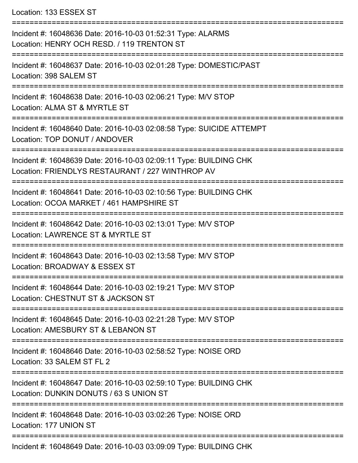Location: 133 ESSEX ST

| Incident #: 16048636 Date: 2016-10-03 01:52:31 Type: ALARMS<br>Location: HENRY OCH RESD. / 119 TRENTON ST             |
|-----------------------------------------------------------------------------------------------------------------------|
| Incident #: 16048637 Date: 2016-10-03 02:01:28 Type: DOMESTIC/PAST<br>Location: 398 SALEM ST                          |
| Incident #: 16048638 Date: 2016-10-03 02:06:21 Type: M/V STOP<br>Location: ALMA ST & MYRTLE ST                        |
| Incident #: 16048640 Date: 2016-10-03 02:08:58 Type: SUICIDE ATTEMPT<br>Location: TOP DONUT / ANDOVER                 |
| Incident #: 16048639 Date: 2016-10-03 02:09:11 Type: BUILDING CHK<br>Location: FRIENDLYS RESTAURANT / 227 WINTHROP AV |
| Incident #: 16048641 Date: 2016-10-03 02:10:56 Type: BUILDING CHK<br>Location: OCOA MARKET / 461 HAMPSHIRE ST         |
| Incident #: 16048642 Date: 2016-10-03 02:13:01 Type: M/V STOP<br>Location: LAWRENCE ST & MYRTLE ST                    |
| Incident #: 16048643 Date: 2016-10-03 02:13:58 Type: M/V STOP<br>Location: BROADWAY & ESSEX ST                        |
| Incident #: 16048644 Date: 2016-10-03 02:19:21 Type: M/V STOP<br>Location: CHESTNUT ST & JACKSON ST                   |
| Incident #: 16048645 Date: 2016-10-03 02:21:28 Type: M/V STOP<br>Location: AMESBURY ST & LEBANON ST                   |
| Incident #: 16048646 Date: 2016-10-03 02:58:52 Type: NOISE ORD<br>Location: 33 SALEM ST FL 2                          |
| Incident #: 16048647 Date: 2016-10-03 02:59:10 Type: BUILDING CHK<br>Location: DUNKIN DONUTS / 63 S UNION ST          |
| Incident #: 16048648 Date: 2016-10-03 03:02:26 Type: NOISE ORD<br>Location: 177 UNION ST                              |
| Incident #: 16048649 Date: 2016-10-03 03:09:09 Type: BUILDING CHK                                                     |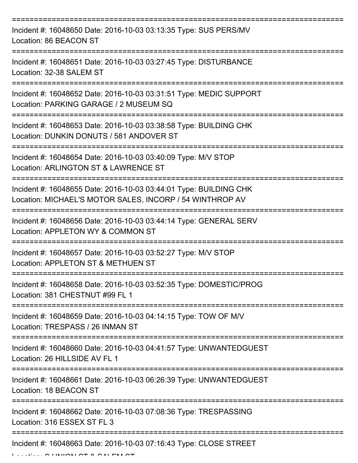| Incident #: 16048650 Date: 2016-10-03 03:13:35 Type: SUS PERS/MV<br>Location: 86 BEACON ST                                    |
|-------------------------------------------------------------------------------------------------------------------------------|
| Incident #: 16048651 Date: 2016-10-03 03:27:45 Type: DISTURBANCE<br>Location: 32-38 SALEM ST                                  |
| Incident #: 16048652 Date: 2016-10-03 03:31:51 Type: MEDIC SUPPORT<br>Location: PARKING GARAGE / 2 MUSEUM SQ                  |
| Incident #: 16048653 Date: 2016-10-03 03:38:58 Type: BUILDING CHK<br>Location: DUNKIN DONUTS / 581 ANDOVER ST                 |
| Incident #: 16048654 Date: 2016-10-03 03:40:09 Type: M/V STOP<br>Location: ARLINGTON ST & LAWRENCE ST                         |
| Incident #: 16048655 Date: 2016-10-03 03:44:01 Type: BUILDING CHK<br>Location: MICHAEL'S MOTOR SALES, INCORP / 54 WINTHROP AV |
| Incident #: 16048656 Date: 2016-10-03 03:44:14 Type: GENERAL SERV<br>Location: APPLETON WY & COMMON ST                        |
| Incident #: 16048657 Date: 2016-10-03 03:52:27 Type: M/V STOP<br>Location: APPLETON ST & METHUEN ST                           |
| Incident #: 16048658 Date: 2016-10-03 03:52:35 Type: DOMESTIC/PROG<br>Location: 381 CHESTNUT #99 FL 1                         |
| Incident #: 16048659 Date: 2016-10-03 04:14:15 Type: TOW OF M/V<br>Location: TRESPASS / 26 INMAN ST                           |
| Incident #: 16048660 Date: 2016-10-03 04:41:57 Type: UNWANTEDGUEST<br>Location: 26 HILLSIDE AV FL 1                           |
| Incident #: 16048661 Date: 2016-10-03 06:26:39 Type: UNWANTEDGUEST<br>Location: 18 BEACON ST                                  |
| Incident #: 16048662 Date: 2016-10-03 07:08:36 Type: TRESPASSING<br>Location: 316 ESSEX ST FL 3                               |
| Incident #: 16048663 Date: 2016-10-03 07:16:43 Type: CLOSE STREET                                                             |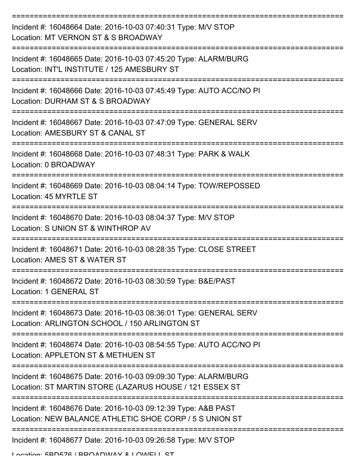| Incident #: 16048664 Date: 2016-10-03 07:40:31 Type: M/V STOP<br>Location: MT VERNON ST & S BROADWAY                       |
|----------------------------------------------------------------------------------------------------------------------------|
| Incident #: 16048665 Date: 2016-10-03 07:45:20 Type: ALARM/BURG<br>Location: INT'L INSTITUTE / 125 AMESBURY ST             |
| Incident #: 16048666 Date: 2016-10-03 07:45:49 Type: AUTO ACC/NO PI<br>Location: DURHAM ST & S BROADWAY                    |
| Incident #: 16048667 Date: 2016-10-03 07:47:09 Type: GENERAL SERV<br>Location: AMESBURY ST & CANAL ST                      |
| Incident #: 16048668 Date: 2016-10-03 07:48:31 Type: PARK & WALK<br>Location: 0 BROADWAY                                   |
| Incident #: 16048669 Date: 2016-10-03 08:04:14 Type: TOW/REPOSSED<br>Location: 45 MYRTLE ST                                |
| Incident #: 16048670 Date: 2016-10-03 08:04:37 Type: M/V STOP<br>Location: S UNION ST & WINTHROP AV                        |
| Incident #: 16048671 Date: 2016-10-03 08:28:35 Type: CLOSE STREET<br>Location: AMES ST & WATER ST                          |
| Incident #: 16048672 Date: 2016-10-03 08:30:59 Type: B&E/PAST<br>Location: 1 GENERAL ST                                    |
| Incident #: 16048673 Date: 2016-10-03 08:36:01 Type: GENERAL SERV<br>Location: ARLINGTON SCHOOL / 150 ARLINGTON ST         |
| Incident #: 16048674 Date: 2016-10-03 08:54:55 Type: AUTO ACC/NO PI<br>Location: APPLETON ST & METHUEN ST                  |
| Incident #: 16048675 Date: 2016-10-03 09:09:30 Type: ALARM/BURG<br>Location: ST MARTIN STORE (LAZARUS HOUSE / 121 ESSEX ST |
| Incident #: 16048676 Date: 2016-10-03 09:12:39 Type: A&B PAST<br>Location: NEW BALANCE ATHLETIC SHOE CORP / 5 S UNION ST   |
| Incident #: 16048677 Date: 2016-10-03 09:26:58 Type: M/V STOP                                                              |

Location: 5BD576 / BROADWAY & LOWELL ST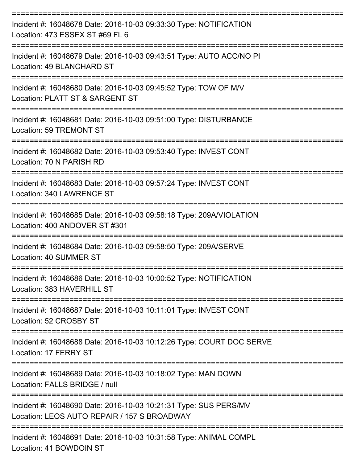| Incident #: 16048678 Date: 2016-10-03 09:33:30 Type: NOTIFICATION<br>Location: 473 ESSEX ST #69 FL 6            |
|-----------------------------------------------------------------------------------------------------------------|
| Incident #: 16048679 Date: 2016-10-03 09:43:51 Type: AUTO ACC/NO PI<br>Location: 49 BLANCHARD ST                |
| Incident #: 16048680 Date: 2016-10-03 09:45:52 Type: TOW OF M/V<br>Location: PLATT ST & SARGENT ST              |
| Incident #: 16048681 Date: 2016-10-03 09:51:00 Type: DISTURBANCE<br>Location: 59 TREMONT ST                     |
| Incident #: 16048682 Date: 2016-10-03 09:53:40 Type: INVEST CONT<br>Location: 70 N PARISH RD                    |
| Incident #: 16048683 Date: 2016-10-03 09:57:24 Type: INVEST CONT<br>Location: 340 LAWRENCE ST                   |
| Incident #: 16048685 Date: 2016-10-03 09:58:18 Type: 209A/VIOLATION<br>Location: 400 ANDOVER ST #301            |
| Incident #: 16048684 Date: 2016-10-03 09:58:50 Type: 209A/SERVE<br>Location: 40 SUMMER ST                       |
| Incident #: 16048686 Date: 2016-10-03 10:00:52 Type: NOTIFICATION<br>Location: 383 HAVERHILL ST                 |
| Incident #: 16048687 Date: 2016-10-03 10:11:01 Type: INVEST CONT<br>Location: 52 CROSBY ST                      |
| Incident #: 16048688 Date: 2016-10-03 10:12:26 Type: COURT DOC SERVE<br>Location: 17 FERRY ST                   |
| Incident #: 16048689 Date: 2016-10-03 10:18:02 Type: MAN DOWN<br>Location: FALLS BRIDGE / null                  |
| Incident #: 16048690 Date: 2016-10-03 10:21:31 Type: SUS PERS/MV<br>Location: LEOS AUTO REPAIR / 157 S BROADWAY |
| Incident #: 16048691 Date: 2016-10-03 10:31:58 Type: ANIMAL COMPL                                               |

Location: 41 BOWDOIN ST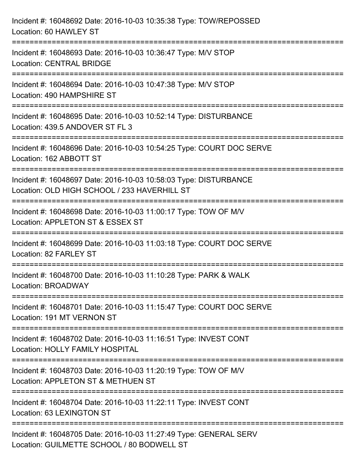| Incident #: 16048692 Date: 2016-10-03 10:35:38 Type: TOW/REPOSSED<br>Location: 60 HAWLEY ST                                           |
|---------------------------------------------------------------------------------------------------------------------------------------|
| Incident #: 16048693 Date: 2016-10-03 10:36:47 Type: M/V STOP<br><b>Location: CENTRAL BRIDGE</b>                                      |
| Incident #: 16048694 Date: 2016-10-03 10:47:38 Type: M/V STOP<br>Location: 490 HAMPSHIRE ST<br>==================================     |
| Incident #: 16048695 Date: 2016-10-03 10:52:14 Type: DISTURBANCE<br>Location: 439.5 ANDOVER ST FL 3                                   |
| Incident #: 16048696 Date: 2016-10-03 10:54:25 Type: COURT DOC SERVE<br>Location: 162 ABBOTT ST                                       |
| Incident #: 16048697 Date: 2016-10-03 10:58:03 Type: DISTURBANCE<br>Location: OLD HIGH SCHOOL / 233 HAVERHILL ST                      |
| :=============================<br>Incident #: 16048698 Date: 2016-10-03 11:00:17 Type: TOW OF M/V<br>Location: APPLETON ST & ESSEX ST |
| Incident #: 16048699 Date: 2016-10-03 11:03:18 Type: COURT DOC SERVE<br>Location: 82 FARLEY ST                                        |
| Incident #: 16048700 Date: 2016-10-03 11:10:28 Type: PARK & WALK<br>Location: BROADWAY                                                |
| Incident #: 16048701 Date: 2016-10-03 11:15:47 Type: COURT DOC SERVE<br>Location: 191 MT VERNON ST                                    |
| Incident #: 16048702 Date: 2016-10-03 11:16:51 Type: INVEST CONT<br><b>Location: HOLLY FAMILY HOSPITAL</b>                            |
| Incident #: 16048703 Date: 2016-10-03 11:20:19 Type: TOW OF M/V<br>Location: APPLETON ST & METHUEN ST                                 |
| Incident #: 16048704 Date: 2016-10-03 11:22:11 Type: INVEST CONT<br>Location: 63 LEXINGTON ST                                         |
| Incident #: 16048705 Date: 2016-10-03 11:27:49 Type: GENERAL SERV<br>Location: GUILMETTE SCHOOL / 80 BODWELL ST                       |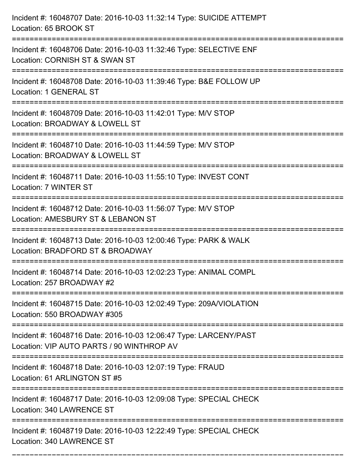| Incident #: 16048707 Date: 2016-10-03 11:32:14 Type: SUICIDE ATTEMPT<br>Location: 65 BROOK ST                                        |
|--------------------------------------------------------------------------------------------------------------------------------------|
| Incident #: 16048706 Date: 2016-10-03 11:32:46 Type: SELECTIVE ENF<br>Location: CORNISH ST & SWAN ST                                 |
| Incident #: 16048708 Date: 2016-10-03 11:39:46 Type: B&E FOLLOW UP<br><b>Location: 1 GENERAL ST</b><br>:============================ |
| Incident #: 16048709 Date: 2016-10-03 11:42:01 Type: M/V STOP<br>Location: BROADWAY & LOWELL ST                                      |
| Incident #: 16048710 Date: 2016-10-03 11:44:59 Type: M/V STOP<br>Location: BROADWAY & LOWELL ST<br>=====================             |
| Incident #: 16048711 Date: 2016-10-03 11:55:10 Type: INVEST CONT<br>Location: 7 WINTER ST                                            |
| Incident #: 16048712 Date: 2016-10-03 11:56:07 Type: M/V STOP<br>Location: AMESBURY ST & LEBANON ST                                  |
| Incident #: 16048713 Date: 2016-10-03 12:00:46 Type: PARK & WALK<br>Location: BRADFORD ST & BROADWAY                                 |
| Incident #: 16048714 Date: 2016-10-03 12:02:23 Type: ANIMAL COMPL<br>Location: 257 BROADWAY #2                                       |
| Incident #: 16048715 Date: 2016-10-03 12:02:49 Type: 209A/VIOLATION<br>Location: 550 BROADWAY #305                                   |
| Incident #: 16048716 Date: 2016-10-03 12:06:47 Type: LARCENY/PAST<br>Location: VIP AUTO PARTS / 90 WINTHROP AV                       |
| Incident #: 16048718 Date: 2016-10-03 12:07:19 Type: FRAUD<br>Location: 61 ARLINGTON ST #5                                           |
| Incident #: 16048717 Date: 2016-10-03 12:09:08 Type: SPECIAL CHECK<br>Location: 340 LAWRENCE ST                                      |
| Incident #: 16048719 Date: 2016-10-03 12:22:49 Type: SPECIAL CHECK<br>Location: 340 LAWRENCE ST                                      |

===========================================================================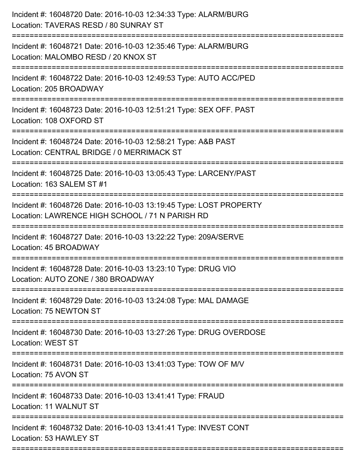| Incident #: 16048720 Date: 2016-10-03 12:34:33 Type: ALARM/BURG<br>Location: TAVERAS RESD / 80 SUNRAY ST                                    |
|---------------------------------------------------------------------------------------------------------------------------------------------|
| :==========================<br>Incident #: 16048721 Date: 2016-10-03 12:35:46 Type: ALARM/BURG<br>Location: MALOMBO RESD / 20 KNOX ST       |
| Incident #: 16048722 Date: 2016-10-03 12:49:53 Type: AUTO ACC/PED<br>Location: 205 BROADWAY                                                 |
| Incident #: 16048723 Date: 2016-10-03 12:51:21 Type: SEX OFF. PAST<br>Location: 108 OXFORD ST                                               |
| Incident #: 16048724 Date: 2016-10-03 12:58:21 Type: A&B PAST<br>Location: CENTRAL BRIDGE / 0 MERRIMACK ST<br>----------------              |
| Incident #: 16048725 Date: 2016-10-03 13:05:43 Type: LARCENY/PAST<br>Location: 163 SALEM ST #1                                              |
| Incident #: 16048726 Date: 2016-10-03 13:19:45 Type: LOST PROPERTY<br>Location: LAWRENCE HIGH SCHOOL / 71 N PARISH RD<br>================== |
| Incident #: 16048727 Date: 2016-10-03 13:22:22 Type: 209A/SERVE<br>Location: 45 BROADWAY                                                    |
| Incident #: 16048728 Date: 2016-10-03 13:23:10 Type: DRUG VIO<br>Location: AUTO ZONE / 380 BROADWAY                                         |
| Incident #: 16048729 Date: 2016-10-03 13:24:08 Type: MAL DAMAGE<br>Location: 75 NEWTON ST                                                   |
| Incident #: 16048730 Date: 2016-10-03 13:27:26 Type: DRUG OVERDOSE<br><b>Location: WEST ST</b>                                              |
| Incident #: 16048731 Date: 2016-10-03 13:41:03 Type: TOW OF M/V<br>Location: 75 AVON ST                                                     |
| Incident #: 16048733 Date: 2016-10-03 13:41:41 Type: FRAUD<br>Location: 11 WALNUT ST                                                        |
| Incident #: 16048732 Date: 2016-10-03 13:41:41 Type: INVEST CONT<br>Location: 53 HAWLEY ST                                                  |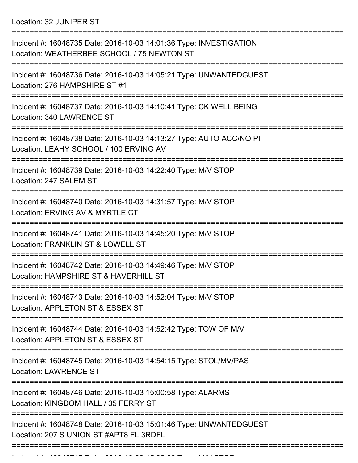Location: 32 JUNIPER ST

| Incident #: 16048735 Date: 2016-10-03 14:01:36 Type: INVESTIGATION<br>Location: WEATHERBEE SCHOOL / 75 NEWTON ST |
|------------------------------------------------------------------------------------------------------------------|
| Incident #: 16048736 Date: 2016-10-03 14:05:21 Type: UNWANTEDGUEST<br>Location: 276 HAMPSHIRE ST #1              |
| Incident #: 16048737 Date: 2016-10-03 14:10:41 Type: CK WELL BEING<br>Location: 340 LAWRENCE ST                  |
| Incident #: 16048738 Date: 2016-10-03 14:13:27 Type: AUTO ACC/NO PI<br>Location: LEAHY SCHOOL / 100 ERVING AV    |
| Incident #: 16048739 Date: 2016-10-03 14:22:40 Type: M/V STOP<br>Location: 247 SALEM ST                          |
| Incident #: 16048740 Date: 2016-10-03 14:31:57 Type: M/V STOP<br>Location: ERVING AV & MYRTLE CT                 |
| Incident #: 16048741 Date: 2016-10-03 14:45:20 Type: M/V STOP<br>Location: FRANKLIN ST & LOWELL ST               |
| Incident #: 16048742 Date: 2016-10-03 14:49:46 Type: M/V STOP<br>Location: HAMPSHIRE ST & HAVERHILL ST           |
| Incident #: 16048743 Date: 2016-10-03 14:52:04 Type: M/V STOP<br>Location: APPLETON ST & ESSEX ST                |
| Incident #: 16048744 Date: 2016-10-03 14:52:42 Type: TOW OF M/V<br>Location: APPLETON ST & ESSEX ST              |
| Incident #: 16048745 Date: 2016-10-03 14:54:15 Type: STOL/MV/PAS<br><b>Location: LAWRENCE ST</b>                 |
| Incident #: 16048746 Date: 2016-10-03 15:00:58 Type: ALARMS<br>Location: KINGDOM HALL / 35 FERRY ST              |
| Incident #: 16048748 Date: 2016-10-03 15:01:46 Type: UNWANTEDGUEST<br>Location: 207 S UNION ST #APT8 FL 3RDFL    |
|                                                                                                                  |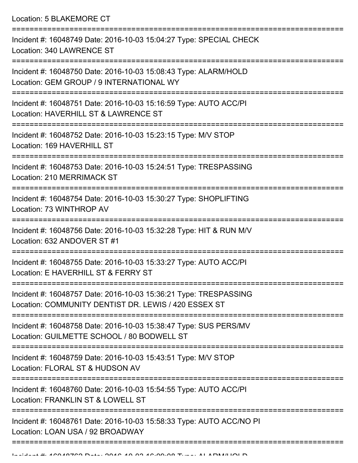Location: 5 BLAKEMORE CT

| Incident #: 16048749 Date: 2016-10-03 15:04:27 Type: SPECIAL CHECK<br>Location: 340 LAWRENCE ST                          |
|--------------------------------------------------------------------------------------------------------------------------|
| Incident #: 16048750 Date: 2016-10-03 15:08:43 Type: ALARM/HOLD<br>Location: GEM GROUP / 9 INTERNATIONAL WY              |
| Incident #: 16048751 Date: 2016-10-03 15:16:59 Type: AUTO ACC/PI<br>Location: HAVERHILL ST & LAWRENCE ST                 |
| Incident #: 16048752 Date: 2016-10-03 15:23:15 Type: M/V STOP<br>Location: 169 HAVERHILL ST                              |
| Incident #: 16048753 Date: 2016-10-03 15:24:51 Type: TRESPASSING<br>Location: 210 MERRIMACK ST                           |
| Incident #: 16048754 Date: 2016-10-03 15:30:27 Type: SHOPLIFTING<br>Location: 73 WINTHROP AV                             |
| Incident #: 16048756 Date: 2016-10-03 15:32:28 Type: HIT & RUN M/V<br>Location: 632 ANDOVER ST #1                        |
| Incident #: 16048755 Date: 2016-10-03 15:33:27 Type: AUTO ACC/PI<br>Location: E HAVERHILL ST & FERRY ST                  |
| Incident #: 16048757 Date: 2016-10-03 15:36:21 Type: TRESPASSING<br>Location: COMMUNITY DENTIST DR. LEWIS / 420 ESSEX ST |
| Incident #: 16048758 Date: 2016-10-03 15:38:47 Type: SUS PERS/MV<br>Location: GUILMETTE SCHOOL / 80 BODWELL ST           |
| Incident #: 16048759 Date: 2016-10-03 15:43:51 Type: M/V STOP<br>Location: FLORAL ST & HUDSON AV                         |
| Incident #: 16048760 Date: 2016-10-03 15:54:55 Type: AUTO ACC/PI<br>Location: FRANKLIN ST & LOWELL ST                    |
| Incident #: 16048761 Date: 2016-10-03 15:58:33 Type: AUTO ACC/NO PI<br>Location: LOAN USA / 92 BROADWAY                  |
|                                                                                                                          |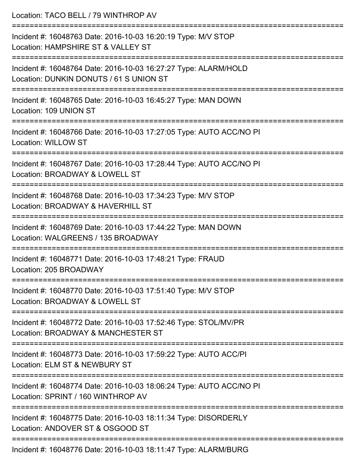| Location: TACO BELL / 79 WINTHROP AV                                                                       |
|------------------------------------------------------------------------------------------------------------|
| Incident #: 16048763 Date: 2016-10-03 16:20:19 Type: M/V STOP<br>Location: HAMPSHIRE ST & VALLEY ST        |
| Incident #: 16048764 Date: 2016-10-03 16:27:27 Type: ALARM/HOLD<br>Location: DUNKIN DONUTS / 61 S UNION ST |
| Incident #: 16048765 Date: 2016-10-03 16:45:27 Type: MAN DOWN<br>Location: 109 UNION ST                    |
| Incident #: 16048766 Date: 2016-10-03 17:27:05 Type: AUTO ACC/NO PI<br><b>Location: WILLOW ST</b>          |
| Incident #: 16048767 Date: 2016-10-03 17:28:44 Type: AUTO ACC/NO PI<br>Location: BROADWAY & LOWELL ST      |
| Incident #: 16048768 Date: 2016-10-03 17:34:23 Type: M/V STOP<br>Location: BROADWAY & HAVERHILL ST         |
| Incident #: 16048769 Date: 2016-10-03 17:44:22 Type: MAN DOWN<br>Location: WALGREENS / 135 BROADWAY        |
| Incident #: 16048771 Date: 2016-10-03 17:48:21 Type: FRAUD<br>Location: 205 BROADWAY                       |
| Incident #: 16048770 Date: 2016-10-03 17:51:40 Type: M/V STOP<br>Location: BROADWAY & LOWELL ST            |
| Incident #: 16048772 Date: 2016-10-03 17:52:46 Type: STOL/MV/PR<br>Location: BROADWAY & MANCHESTER ST      |
| Incident #: 16048773 Date: 2016-10-03 17:59:22 Type: AUTO ACC/PI<br>Location: ELM ST & NEWBURY ST          |
| Incident #: 16048774 Date: 2016-10-03 18:06:24 Type: AUTO ACC/NO PI<br>Location: SPRINT / 160 WINTHROP AV  |
| Incident #: 16048775 Date: 2016-10-03 18:11:34 Type: DISORDERLY<br>Location: ANDOVER ST & OSGOOD ST        |
| Incident #: 16048776 Date: 2016-10-03 18:11:47 Type: ALARM/BURG                                            |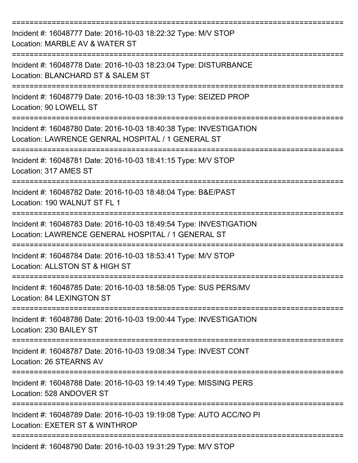| Incident #: 16048777 Date: 2016-10-03 18:22:32 Type: M/V STOP<br>Location: MARBLE AV & WATER ST                          |
|--------------------------------------------------------------------------------------------------------------------------|
| Incident #: 16048778 Date: 2016-10-03 18:23:04 Type: DISTURBANCE<br>Location: BLANCHARD ST & SALEM ST                    |
| Incident #: 16048779 Date: 2016-10-03 18:39:13 Type: SEIZED PROP<br>Location: 90 LOWELL ST                               |
| Incident #: 16048780 Date: 2016-10-03 18:40:38 Type: INVESTIGATION<br>Location: LAWRENCE GENRAL HOSPITAL / 1 GENERAL ST  |
| Incident #: 16048781 Date: 2016-10-03 18:41:15 Type: M/V STOP<br>Location: 317 AMES ST                                   |
| Incident #: 16048782 Date: 2016-10-03 18:48:04 Type: B&E/PAST<br>Location: 190 WALNUT ST FL 1                            |
| Incident #: 16048783 Date: 2016-10-03 18:49:54 Type: INVESTIGATION<br>Location: LAWRENCE GENERAL HOSPITAL / 1 GENERAL ST |
| Incident #: 16048784 Date: 2016-10-03 18:53:41 Type: M/V STOP<br>Location: ALLSTON ST & HIGH ST                          |
| Incident #: 16048785 Date: 2016-10-03 18:58:05 Type: SUS PERS/MV<br>Location: 84 LEXINGTON ST                            |
| Incident #: 16048786 Date: 2016-10-03 19:00:44 Type: INVESTIGATION<br>Location: 230 BAILEY ST                            |
| Incident #: 16048787 Date: 2016-10-03 19:08:34 Type: INVEST CONT<br>Location: 26 STEARNS AV                              |
| Incident #: 16048788 Date: 2016-10-03 19:14:49 Type: MISSING PERS<br>Location: 528 ANDOVER ST                            |
| Incident #: 16048789 Date: 2016-10-03 19:19:08 Type: AUTO ACC/NO PI<br>Location: EXETER ST & WINTHROP                    |
| Incident #: 16048790 Date: 2016-10-03 19:31:29 Type: M/V STOP                                                            |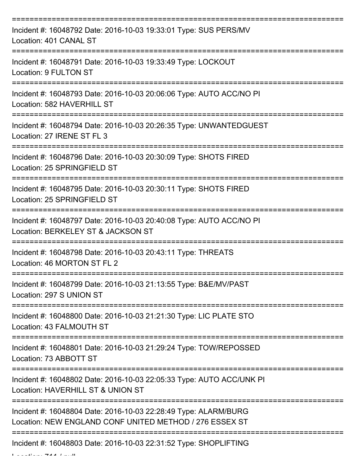| Incident #: 16048792 Date: 2016-10-03 19:33:01 Type: SUS PERS/MV<br>Location: 401 CANAL ST                                 |
|----------------------------------------------------------------------------------------------------------------------------|
| Incident #: 16048791 Date: 2016-10-03 19:33:49 Type: LOCKOUT<br>Location: 9 FULTON ST                                      |
| Incident #: 16048793 Date: 2016-10-03 20:06:06 Type: AUTO ACC/NO PI<br>Location: 582 HAVERHILL ST                          |
| Incident #: 16048794 Date: 2016-10-03 20:26:35 Type: UNWANTEDGUEST<br>Location: 27 IRENE ST FL 3                           |
| Incident #: 16048796 Date: 2016-10-03 20:30:09 Type: SHOTS FIRED<br>Location: 25 SPRINGFIELD ST                            |
| Incident #: 16048795 Date: 2016-10-03 20:30:11 Type: SHOTS FIRED<br>Location: 25 SPRINGFIELD ST                            |
| Incident #: 16048797 Date: 2016-10-03 20:40:08 Type: AUTO ACC/NO PI<br>Location: BERKELEY ST & JACKSON ST                  |
| Incident #: 16048798 Date: 2016-10-03 20:43:11 Type: THREATS<br>Location: 46 MORTON ST FL 2                                |
| Incident #: 16048799 Date: 2016-10-03 21:13:55 Type: B&E/MV/PAST<br>Location: 297 S UNION ST                               |
| Incident #: 16048800 Date: 2016-10-03 21:21:30 Type: LIC PLATE STO<br>Location: 43 FALMOUTH ST                             |
| Incident #: 16048801 Date: 2016-10-03 21:29:24 Type: TOW/REPOSSED<br>Location: 73 ABBOTT ST                                |
| Incident #: 16048802 Date: 2016-10-03 22:05:33 Type: AUTO ACC/UNK PI<br>Location: HAVERHILL ST & UNION ST                  |
| Incident #: 16048804 Date: 2016-10-03 22:28:49 Type: ALARM/BURG<br>Location: NEW ENGLAND CONF UNITED METHOD / 276 ESSEX ST |
| Incident #: 16048803 Date: 2016-10-03 22:31:52 Type: SHOPLIFTING<br>المنتشط الهاها فاستشاهه والمستقبل                      |